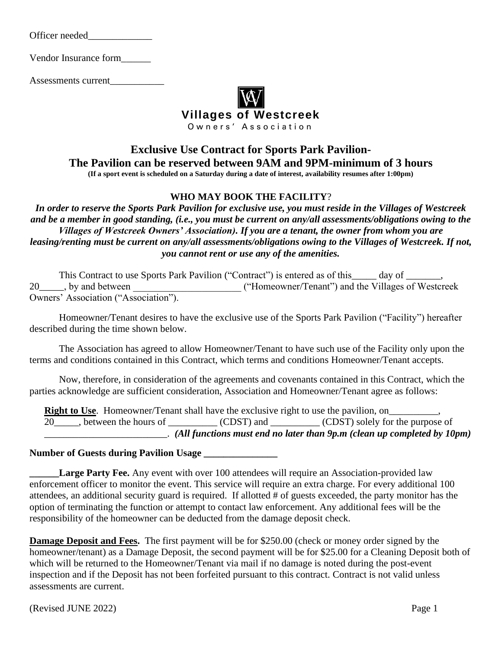Officer needed\_\_\_\_\_\_\_\_\_\_\_\_\_

Vendor Insurance form\_\_\_\_\_\_

Assessments current\_\_\_\_\_\_\_\_\_\_\_



## **Exclusive Use Contract for Sports Park Pavilion-The Pavilion can be reserved between 9AM and 9PM-minimum of 3 hours (If a sport event is scheduled on a Saturday during a date of interest, availability resumes after 1:00pm)**

#### **WHO MAY BOOK THE FACILITY**?

*In order to reserve the Sports Park Pavilion for exclusive use, you must reside in the Villages of Westcreek and be a member in good standing, (i.e., you must be current on any/all assessments/obligations owing to the Villages of Westcreek Owners' Association). If you are a tenant, the owner from whom you are leasing/renting must be current on any/all assessments/obligations owing to the Villages of Westcreek. If not, you cannot rent or use any of the amenities.*

|                                      | This Contract to use Sports Park Pavilion ("Contract") is entered as of this _____ day of ______. |  |
|--------------------------------------|---------------------------------------------------------------------------------------------------|--|
| 20 <sub>_____</sub> , by and between | ("Homeowner/Tenant") and the Villages of Westcreek                                                |  |
| Owners' Association ("Association"). |                                                                                                   |  |

Homeowner/Tenant desires to have the exclusive use of the Sports Park Pavilion ("Facility") hereafter described during the time shown below.

The Association has agreed to allow Homeowner/Tenant to have such use of the Facility only upon the terms and conditions contained in this Contract, which terms and conditions Homeowner/Tenant accepts.

Now, therefore, in consideration of the agreements and covenants contained in this Contract, which the parties acknowledge are sufficient consideration, Association and Homeowner/Tenant agree as follows:

**Right to Use**. Homeowner/Tenant shall have the exclusive right to use the pavilion, on 20\_\_\_\_\_, between the hours of \_\_\_\_\_\_\_\_\_\_ (CDST) and \_\_\_\_\_\_\_\_ (CDST) solely for the purpose of \_\_\_\_\_\_\_\_\_\_\_\_\_\_\_\_\_\_\_\_\_\_\_\_\_. *(All functions must end no later than 9p.m (clean up completed by 10pm)*

#### **Number of Guests during Pavilion Usage \_\_\_\_\_\_\_\_\_\_\_\_\_\_\_**

Large Party Fee. Any event with over 100 attendees will require an Association-provided law enforcement officer to monitor the event. This service will require an extra charge. For every additional 100 attendees, an additional security guard is required. If allotted # of guests exceeded, the party monitor has the option of terminating the function or attempt to contact law enforcement. Any additional fees will be the responsibility of the homeowner can be deducted from the damage deposit check.

**Damage Deposit and Fees.** The first payment will be for \$250.00 (check or money order signed by the homeowner/tenant) as a Damage Deposit, the second payment will be for \$25.00 for a Cleaning Deposit both of which will be returned to the Homeowner/Tenant via mail if no damage is noted during the post-event inspection and if the Deposit has not been forfeited pursuant to this contract*.* Contract is not valid unless assessments are current.

(Revised JUNE 2022) Page 1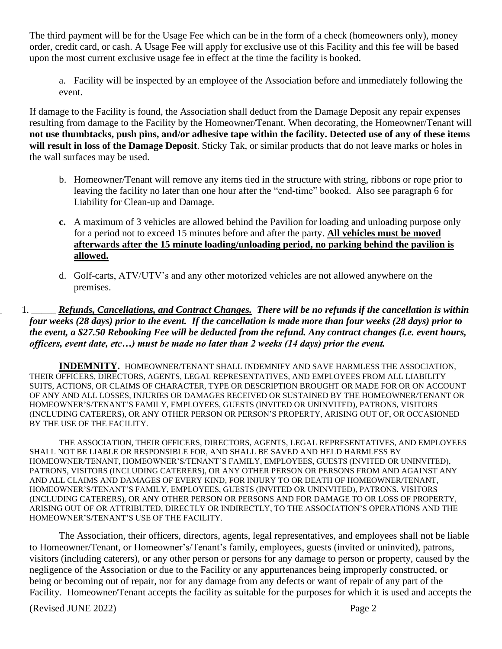The third payment will be for the Usage Fee which can be in the form of a check (homeowners only), money order, credit card, or cash. A Usage Fee will apply for exclusive use of this Facility and this fee will be based upon the most current exclusive usage fee in effect at the time the facility is booked.

a. Facility will be inspected by an employee of the Association before and immediately following the event.

If damage to the Facility is found, the Association shall deduct from the Damage Deposit any repair expenses resulting from damage to the Facility by the Homeowner/Tenant. When decorating, the Homeowner/Tenant will **not use thumbtacks, push pins, and/or adhesive tape within the facility. Detected use of any of these items will result in loss of the Damage Deposit**. Sticky Tak, or similar products that do not leave marks or holes in the wall surfaces may be used.

- b. Homeowner/Tenant will remove any items tied in the structure with string, ribbons or rope prior to leaving the facility no later than one hour after the "end-time" booked. Also see paragraph 6 for Liability for Clean-up and Damage.
- **c.** A maximum of 3 vehicles are allowed behind the Pavilion for loading and unloading purpose only for a period not to exceed 15 minutes before and after the party. **All vehicles must be moved afterwards after the 15 minute loading/unloading period, no parking behind the pavilion is allowed.**
- d. Golf-carts, ATV/UTV's and any other motorized vehicles are not allowed anywhere on the premises.

\_ 1. \_\_\_\_\_ *Refunds, Cancellations, and Contract Changes. There will be no refunds if the cancellation is within four weeks (28 days) prior to the event. If the cancellation is made more than four weeks (28 days) prior to the event, a \$27.50 Rebooking Fee will be deducted from the refund. Any contract changes (i.e. event hours, officers, event date, etc…) must be made no later than 2 weeks (14 days) prior the event.* 

**INDEMNITY.** HOMEOWNER/TENANT SHALL INDEMNIFY AND SAVE HARMLESS THE ASSOCIATION, THEIR OFFICERS, DIRECTORS, AGENTS, LEGAL REPRESENTATIVES, AND EMPLOYEES FROM ALL LIABILITY SUITS, ACTIONS, OR CLAIMS OF CHARACTER, TYPE OR DESCRIPTION BROUGHT OR MADE FOR OR ON ACCOUNT OF ANY AND ALL LOSSES, INJURIES OR DAMAGES RECEIVED OR SUSTAINED BY THE HOMEOWNER/TENANT OR HOMEOWNER'S/TENANT'S FAMILY, EMPLOYEES, GUESTS (INVITED OR UNINVITED), PATRONS, VISITORS (INCLUDING CATERERS), OR ANY OTHER PERSON OR PERSON'S PROPERTY, ARISING OUT OF, OR OCCASIONED BY THE USE OF THE FACILITY.

THE ASSOCIATION, THEIR OFFICERS, DIRECTORS, AGENTS, LEGAL REPRESENTATIVES, AND EMPLOYEES SHALL NOT BE LIABLE OR RESPONSIBLE FOR, AND SHALL BE SAVED AND HELD HARMLESS BY HOMEOWNER/TENANT, HOMEOWNER'S/TENANT'S FAMILY, EMPLOYEES, GUESTS (INVITED OR UNINVITED), PATRONS, VISITORS (INCLUDING CATERERS), OR ANY OTHER PERSON OR PERSONS FROM AND AGAINST ANY AND ALL CLAIMS AND DAMAGES OF EVERY KIND, FOR INJURY TO OR DEATH OF HOMEOWNER/TENANT, HOMEOWNER'S/TENANT'S FAMILY, EMPLOYEES, GUESTS (INVITED OR UNINVITED), PATRONS, VISITORS (INCLUDING CATERERS), OR ANY OTHER PERSON OR PERSONS AND FOR DAMAGE TO OR LOSS OF PROPERTY, ARISING OUT OF OR ATTRIBUTED, DIRECTLY OR INDIRECTLY, TO THE ASSOCIATION'S OPERATIONS AND THE HOMEOWNER'S/TENANT'S USE OF THE FACILITY.

The Association, their officers, directors, agents, legal representatives, and employees shall not be liable to Homeowner/Tenant, or Homeowner's/Tenant's family, employees, guests (invited or uninvited), patrons, visitors (including caterers), or any other person or persons for any damage to person or property, caused by the negligence of the Association or due to the Facility or any appurtenances being improperly constructed, or being or becoming out of repair, nor for any damage from any defects or want of repair of any part of the Facility. Homeowner/Tenant accepts the facility as suitable for the purposes for which it is used and accepts the

(Revised JUNE 2022) Page 2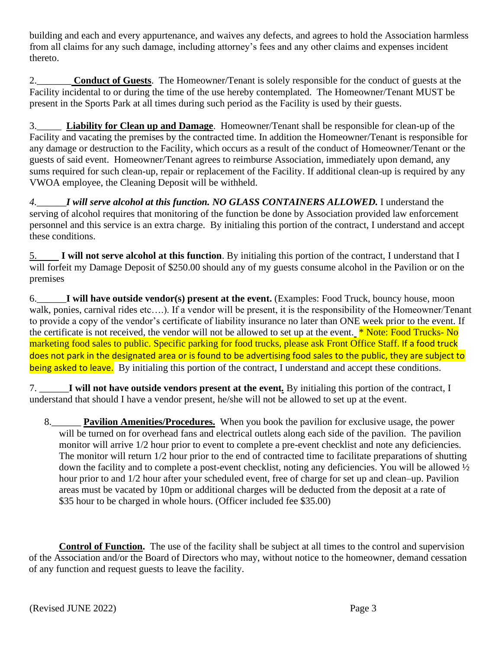building and each and every appurtenance, and waives any defects, and agrees to hold the Association harmless from all claims for any such damage, including attorney's fees and any other claims and expenses incident thereto.

2.\_\_\_\_\_\_\_ **Conduct of Guests**. The Homeowner/Tenant is solely responsible for the conduct of guests at the Facility incidental to or during the time of the use hereby contemplated. The Homeowner/Tenant MUST be present in the Sports Park at all times during such period as the Facility is used by their guests.

3.\_\_\_\_\_ **Liability for Clean up and Damage**. Homeowner/Tenant shall be responsible for clean-up of the Facility and vacating the premises by the contracted time. In addition the Homeowner/Tenant is responsible for any damage or destruction to the Facility, which occurs as a result of the conduct of Homeowner/Tenant or the guests of said event. Homeowner/Tenant agrees to reimburse Association, immediately upon demand, any sums required for such clean-up, repair or replacement of the Facility. If additional clean-up is required by any VWOA employee, the Cleaning Deposit will be withheld.

*4.\_\_\_\_\_\_I will serve alcohol at this function. NO GLASS CONTAINERS ALLOWED.* I understand the serving of alcohol requires that monitoring of the function be done by Association provided law enforcement personnel and this service is an extra charge. By initialing this portion of the contract, I understand and accept these conditions.

5. **I will not serve alcohol at this function**. By initialing this portion of the contract, I understand that I will forfeit my Damage Deposit of \$250.00 should any of my guests consume alcohol in the Pavilion or on the premises

6.\_\_\_\_\_\_**I will have outside vendor(s) present at the event.** (Examples: Food Truck, bouncy house, moon walk, ponies, carnival rides etc....). If a vendor will be present, it is the responsibility of the Homeowner/Tenant to provide a copy of the vendor's certificate of liability insurance no later than ONE week prior to the event. If the certificate is not received, the vendor will not be allowed to set up at the event. **\*** Note: Food Trucks- No marketing food sales to public. Specific parking for food trucks, please ask Front Office Staff. If a food truck does not park in the designated area or is found to be advertising food sales to the public, they are subject to being asked to leave. By initialing this portion of the contract, I understand and accept these conditions.

7. \_\_\_\_\_\_**I will not have outside vendors present at the event***.* By initialing this portion of the contract, I understand that should I have a vendor present, he/she will not be allowed to set up at the event.

8.\_\_\_\_\_\_ **Pavilion Amenities/Procedures.** When you book the pavilion for exclusive usage, the power will be turned on for overhead fans and electrical outlets along each side of the pavilion. The pavilion monitor will arrive 1/2 hour prior to event to complete a pre-event checklist and note any deficiencies. The monitor will return 1/2 hour prior to the end of contracted time to facilitate preparations of shutting down the facility and to complete a post-event checklist, noting any deficiencies. You will be allowed ½ hour prior to and 1/2 hour after your scheduled event, free of charge for set up and clean–up. Pavilion areas must be vacated by 10pm or additional charges will be deducted from the deposit at a rate of \$35 hour to be charged in whole hours. (Officer included fee \$35.00)

 **Control of Function.** The use of the facility shall be subject at all times to the control and supervision of the Association and/or the Board of Directors who may, without notice to the homeowner, demand cessation of any function and request guests to leave the facility.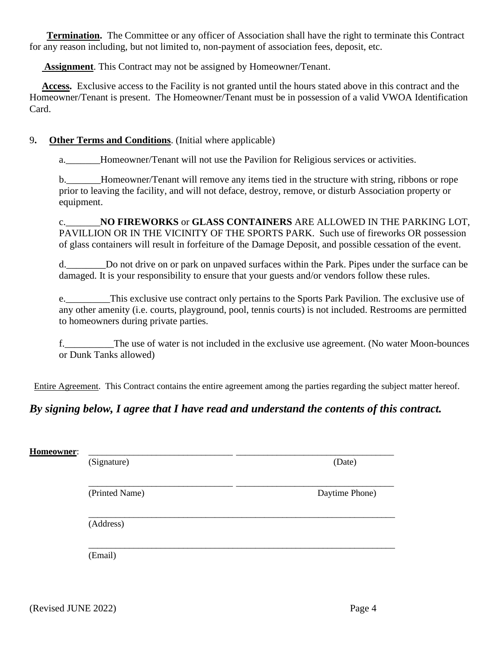**Termination.** The Committee or any officer of Association shall have the right to terminate this Contract for any reason including, but not limited to, non-payment of association fees, deposit, etc.

 **Assignment**. This Contract may not be assigned by Homeowner/Tenant.

 **Access.** Exclusive access to the Facility is not granted until the hours stated above in this contract and the Homeowner/Tenant is present. The Homeowner/Tenant must be in possession of a valid VWOA Identification Card.

### 9**. Other Terms and Conditions**. (Initial where applicable)

a. The Homeowner/Tenant will not use the Pavilion for Religious services or activities.

b.\_\_\_\_\_\_\_Homeowner/Tenant will remove any items tied in the structure with string, ribbons or rope prior to leaving the facility, and will not deface, destroy, remove, or disturb Association property or equipment.

c.\_\_\_\_\_\_\_**NO FIREWORKS** or **GLASS CONTAINERS** ARE ALLOWED IN THE PARKING LOT, PAVILLION OR IN THE VICINITY OF THE SPORTS PARK. Such use of fireworks OR possession of glass containers will result in forfeiture of the Damage Deposit, and possible cessation of the event.

d.\_\_\_\_\_\_\_\_Do not drive on or park on unpaved surfaces within the Park. Pipes under the surface can be damaged. It is your responsibility to ensure that your guests and/or vendors follow these rules.

e. This exclusive use contract only pertains to the Sports Park Pavilion. The exclusive use of any other amenity (i.e. courts, playground, pool, tennis courts) is not included. Restrooms are permitted to homeowners during private parties.

The use of water is not included in the exclusive use agreement. (No water Moon-bounces or Dunk Tanks allowed)

Entire Agreement. This Contract contains the entire agreement among the parties regarding the subject matter hereof.

# *By signing below, I agree that I have read and understand the contents of this contract.*

| Homeowner: | (Signature)    | (Date)         |  |  |
|------------|----------------|----------------|--|--|
|            |                |                |  |  |
|            | (Printed Name) | Daytime Phone) |  |  |
|            | (Address)      |                |  |  |
|            | (Email)        |                |  |  |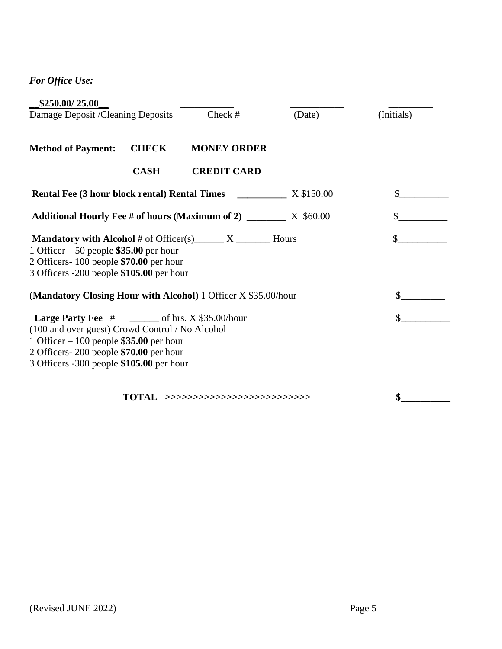*For Office Use:*

| \$250.00/25.00                                                                                                                                                                                                                                   |              |                                   |        |            |
|--------------------------------------------------------------------------------------------------------------------------------------------------------------------------------------------------------------------------------------------------|--------------|-----------------------------------|--------|------------|
| Damage Deposit /Cleaning Deposits                                                                                                                                                                                                                |              | Check #                           | (Date) | (Initials) |
| <b>Method of Payment:</b>                                                                                                                                                                                                                        | <b>CHECK</b> | <b>MONEY ORDER</b>                |        |            |
|                                                                                                                                                                                                                                                  | <b>CASH</b>  | <b>CREDIT CARD</b>                |        |            |
|                                                                                                                                                                                                                                                  |              |                                   |        |            |
| Additional Hourly Fee # of hours (Maximum of 2) _________ X \$60.00                                                                                                                                                                              |              |                                   |        |            |
| <b>Mandatory with Alcohol</b> # of Officer(s) $X_1$ Mours<br>1 Officer $-50$ people \$35.00 per hour<br>2 Officers-100 people \$70.00 per hour<br>3 Officers -200 people \$105.00 per hour                                                       |              |                                   |        | \$         |
| (Mandatory Closing Hour with Alcohol) 1 Officer X \$35.00/hour                                                                                                                                                                                   |              |                                   |        | \$         |
| <b>Large Party Fee</b> $#$ _________ of hrs. X \$35.00/hour<br>(100 and over guest) Crowd Control / No Alcohol<br>1 Officer $-100$ people \$35.00 per hour<br>2 Officers-200 people \$70.00 per hour<br>3 Officers -300 people \$105.00 per hour |              |                                   |        |            |
|                                                                                                                                                                                                                                                  |              | TOTAL >>>>>>>>>>>>>>>>>>>>>>>>>>> |        | \$         |